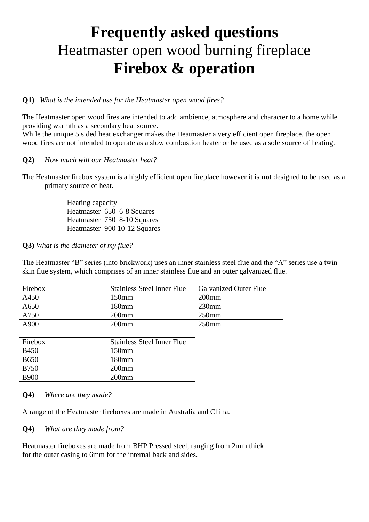# **Frequently asked questions** Heatmaster open wood burning fireplace **Firebox & operation**

## **Q1)** *What is the intended use for the Heatmaster open wood fires?*

The Heatmaster open wood fires are intended to add ambience, atmosphere and character to a home while providing warmth as a secondary heat source.

While the unique 5 sided heat exchanger makes the Heatmaster a very efficient open fireplace, the open wood fires are not intended to operate as a slow combustion heater or be used as a sole source of heating.

#### **Q2)** *How much will our Heatmaster heat?*

The Heatmaster firebox system is a highly efficient open fireplace however it is **not** designed to be used as a primary source of heat.

> Heating capacity Heatmaster 650 6-8 Squares Heatmaster 750 8-10 Squares Heatmaster 900 10-12 Squares

**Q3)** *What is the diameter of my flue?*

The Heatmaster "B" series (into brickwork) uses an inner stainless steel flue and the "A" series use a twin skin flue system, which comprises of an inner stainless flue and an outer galvanized flue.

| <b>Firebox</b> | <b>Stainless Steel Inner Flue</b> | <b>Galvanized Outer Flue</b> |
|----------------|-----------------------------------|------------------------------|
| A450           | $150$ mm                          | $200$ mm                     |
| A650           | 180 <sub>mm</sub>                 | $230$ mm                     |
| A750           | $200$ mm                          | $250$ mm                     |
| A900           | $200$ mm                          | $250$ mm                     |

| Firebox     | <b>Stainless Steel Inner Flue</b> |
|-------------|-----------------------------------|
| <b>B450</b> | $150 \text{mm}$                   |
| <b>B650</b> | $180 \text{mm}$                   |
| <b>B750</b> | $200$ mm                          |
| B900        | $200$ mm                          |

**Q4)** *Where are they made?*

A range of the Heatmaster fireboxes are made in Australia and China.

**Q4)** *What are they made from?*

Heatmaster fireboxes are made from BHP Pressed steel, ranging from 2mm thick for the outer casing to 6mm for the internal back and sides.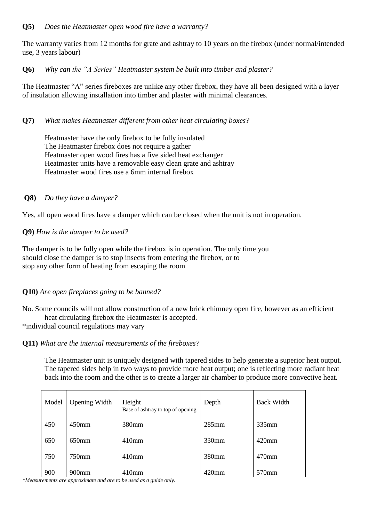The warranty varies from 12 months for grate and ashtray to 10 years on the firebox (under normal/intended use, 3 years labour)

**Q6)** *Why can the "A Series" Heatmaster system be built into timber and plaster?*

The Heatmaster "A" series fireboxes are unlike any other firebox, they have all been designed with a layer of insulation allowing installation into timber and plaster with minimal clearances.

# **Q7)** *What makes Heatmaster different from other heat circulating boxes?*

 Heatmaster have the only firebox to be fully insulated The Heatmaster firebox does not require a gather Heatmaster open wood fires has a five sided heat exchanger Heatmaster units have a removable easy clean grate and ashtray Heatmaster wood fires use a 6mm internal firebox

# **Q8)** *Do they have a damper?*

Yes, all open wood fires have a damper which can be closed when the unit is not in operation.

# **Q9)** *How is the damper to be used?*

The damper is to be fully open while the firebox is in operation. The only time you should close the damper is to stop insects from entering the firebox, or to stop any other form of heating from escaping the room

# **Q10)** *Are open fireplaces going to be banned?*

No. Some councils will not allow construction of a new brick chimney open fire, however as an efficient heat circulating firebox the Heatmaster is accepted.

\*individual council regulations may vary

# **Q11)** *What are the internal measurements of the fireboxes?*

The Heatmaster unit is uniquely designed with tapered sides to help generate a superior heat output. The tapered sides help in two ways to provide more heat output; one is reflecting more radiant heat back into the room and the other is to create a larger air chamber to produce more convective heat.

| Model | Opening Width     | Height<br>Base of ashtray to top of opening | Depth    | <b>Back Width</b> |
|-------|-------------------|---------------------------------------------|----------|-------------------|
|       |                   |                                             |          |                   |
| 450   | 450mm             | 380mm                                       | $285$ mm | $335$ mm          |
|       |                   |                                             |          |                   |
| 650   | 650 <sub>mm</sub> | $410$ mm                                    | 330mm    | $420$ mm          |
|       |                   |                                             |          |                   |
| 750   | 750mm             | $410$ mm                                    | 380mm    | $470$ mm          |
|       |                   |                                             |          |                   |
| 900   | 900 <sub>mm</sub> | 410mm                                       | 420mm    | 570mm             |

*\*Measurements are approximate and are to be used as a guide only.*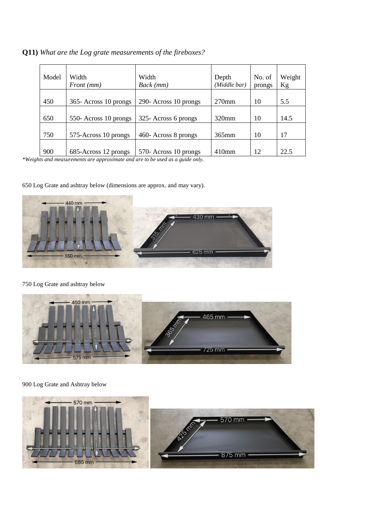| Model | Width<br>Front (mm)   | Width<br>Back (mm)    | Depth<br>(Middle bar) | No. of<br>prongs | Weight<br>Kg |
|-------|-----------------------|-----------------------|-----------------------|------------------|--------------|
| 450   | 365- Across 10 prongs | 290- Across 10 prongs | $270$ mm              | 10               | 5.5          |
| 650   | 550- Across 10 prongs | 325- Across 6 prongs  | $320$ mm              | 10               | 14.5         |
| 750   | 575-Across 10 prongs  | 460- Across 8 prongs  | $365$ mm              | 10               | 17           |
| 900   | 685-Across 12 prongs  | 570- Across 10 prongs | $410$ mm              | 12.              | 22.5         |

**Q11)** *What are the Log grate measurements of the fireboxes?*

*\*Weights and measurements are approximate and are to be used as a guide only.*

650 Log Grate and ashtray below (dimensions are approx. and may vary).



#### 750 Log Grate and ashtray below



# 900 Log Grate and Ashtray below

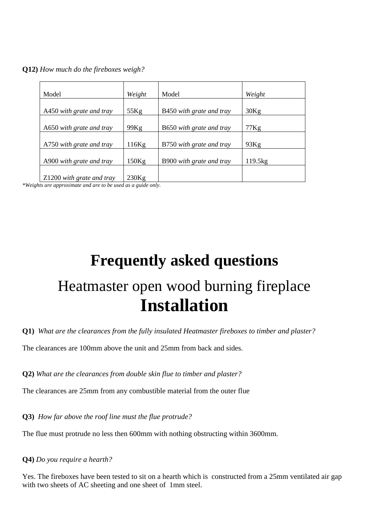**Q12)** *How much do the fireboxes weigh?*

| Model                     | Weight | Model                    | Weight  |
|---------------------------|--------|--------------------------|---------|
| A450 with grate and tray  | 55Kg   | B450 with grate and tray | 30Kg    |
| A650 with grate and tray  | 99Kg   | B650 with grate and tray | 77Kg    |
| A750 with grate and tray  | 116Kg  | B750 with grate and tray | 93Kg    |
| A900 with grate and tray  | 150Kg  | B900 with grate and tray | 119.5kg |
| Z1200 with grate and tray | 230Kg  |                          |         |

*\*Weights are approximate and are to be used as a guide only.*

# **Frequently asked questions** Heatmaster open wood burning fireplace **Installation**

**Q1)** *What are the clearances from the fully insulated Heatmaster fireboxes to timber and plaster?*

The clearances are 100mm above the unit and 25mm from back and sides.

**Q2)** *What are the clearances from double skin flue to timber and plaster?*

The clearances are 25mm from any combustible material from the outer flue

**Q3)** *How far above the roof line must the flue protrude?*

The flue must protrude no less then 600mm with nothing obstructing within 3600mm.

**Q4)** *Do you require a hearth?*

Yes. The fireboxes have been tested to sit on a hearth which is constructed from a 25mm ventilated air gap with two sheets of AC sheeting and one sheet of 1mm steel.